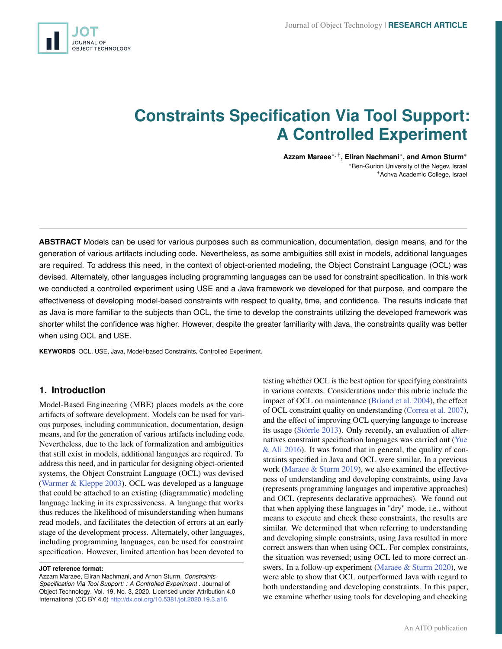<span id="page-0-0"></span>

# **Constraints Specification Via Tool Support: A Controlled Experiment**

**Azzam Maraee**∗, † **, Eliran Nachmani**<sup>∗</sup> **, and Arnon Sturm**<sup>∗</sup> <sup>∗</sup>Ben-Gurion University of the Negev, Israel †Achva Academic College, Israel

**ABSTRACT** Models can be used for various purposes such as communication, documentation, design means, and for the generation of various artifacts including code. Nevertheless, as some ambiguities still exist in models, additional languages are required. To address this need, in the context of object-oriented modeling, the Object Constraint Language (OCL) was devised. Alternately, other languages including programming languages can be used for constraint specification. In this work we conducted a controlled experiment using USE and a Java framework we developed for that purpose, and compare the effectiveness of developing model-based constraints with respect to quality, time, and confidence. The results indicate that as Java is more familiar to the subjects than OCL, the time to develop the constraints utilizing the developed framework was shorter whilst the confidence was higher. However, despite the greater familiarity with Java, the constraints quality was better when using OCL and USE.

**KEYWORDS** OCL, USE, Java, Model-based Constraints, Controlled Experiment.

# **1. Introduction**

Model-Based Engineering (MBE) places models as the core artifacts of software development. Models can be used for various purposes, including communication, documentation, design means, and for the generation of various artifacts including code. Nevertheless, due to the lack of formalization and ambiguities that still exist in models, additional languages are required. To address this need, and in particular for designing object-oriented systems, the Object Constraint Language (OCL) was devised [\(Warmer & Kleppe](#page-15-0) [2003\)](#page-15-0). OCL was developed as a language that could be attached to an existing (diagrammatic) modeling language lacking in its expressiveness. A language that works thus reduces the likelihood of misunderstanding when humans read models, and facilitates the detection of errors at an early stage of the development process. Alternately, other languages, including programming languages, can be used for constraint specification. However, limited attention has been devoted to

**JOT reference format:**

Azzam Maraee, Eliran Nachmani, and Arnon Sturm. *Constraints Specification Via Tool Support: : A Controlled Experiment* . Journal of Object Technology. Vol. 19, No. 3, 2020. Licensed under Attribution 4.0 International (CC BY 4.0) <http://dx.doi.org/10.5381/jot.2020.19.3.a16>

testing whether OCL is the best option for specifying constraints in various contexts. Considerations under this rubric include the impact of OCL on maintenance [\(Briand et al.](#page-14-0) [2004\)](#page-14-0), the effect of OCL constraint quality on understanding [\(Correa et al.](#page-14-1) [2007\)](#page-14-1), and the effect of improving OCL querying language to increase its usage [\(Störrle](#page-15-1) [2013\)](#page-15-1). Only recently, an evaluation of alternatives constraint specification languages was carried out [\(Yue](#page-15-2)  $&$  Ali [2016\)](#page-15-2). It was found that in general, the quality of constraints specified in Java and OCL were similar. In a previous work [\(Maraee & Sturm](#page-15-3) [2019\)](#page-15-3), we also examined the effectiveness of understanding and developing constraints, using Java (represents programming languages and imperative approaches) and OCL (represents declarative approaches). We found out that when applying these languages in "dry" mode, i.e., without means to execute and check these constraints, the results are similar. We determined that when referring to understanding and developing simple constraints, using Java resulted in more correct answers than when using OCL. For complex constraints, the situation was reversed; using OCL led to more correct answers. In a follow-up experiment [\(Maraee & Sturm](#page-15-4) [2020\)](#page-15-4), we were able to show that OCL outperformed Java with regard to both understanding and developing constraints. In this paper, we examine whether using tools for developing and checking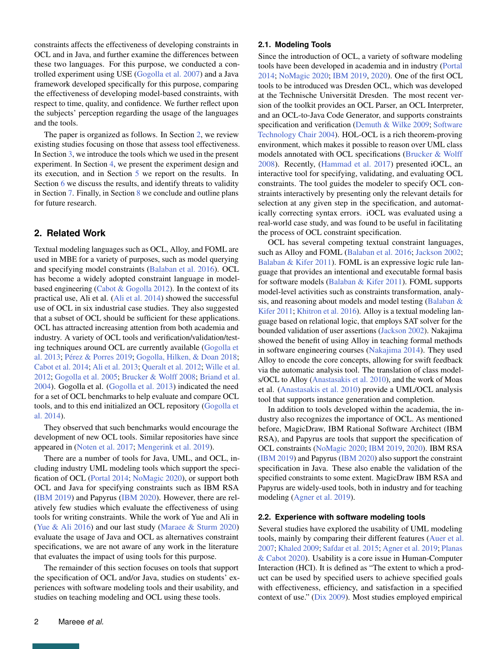constraints affects the effectiveness of developing constraints in OCL and in Java, and further examine the differences between these two languages. For this purpose, we conducted a controlled experiment using USE [\(Gogolla et al.](#page-14-2) [2007\)](#page-14-2) and a Java framework developed specifically for this purpose, comparing the effectiveness of developing model-based constraints, with respect to time, quality, and confidence. We further reflect upon the subjects' perception regarding the usage of the languages and the tools.

The paper is organized as follows. In Section [2,](#page-1-0) we review existing studies focusing on those that assess tool effectiveness. In Section [3,](#page-2-0) we introduce the tools which we used in the present experiment. In Section [4,](#page-4-0) we present the experiment design and its execution, and in Section [5](#page-8-0) we report on the results. In Section [6](#page-9-0) we discuss the results, and identify threats to validity in Section [7.](#page-13-0) Finally, in Section [8](#page-13-1) we conclude and outline plans for future research.

# <span id="page-1-0"></span>**2. Related Work**

Textual modeling languages such as OCL, Alloy, and FOML are used in MBE for a variety of purposes, such as model querying and specifying model constraints [\(Balaban et al.](#page-14-3) [2016\)](#page-14-3). OCL has become a widely adopted constraint language in modelbased engineering [\(Cabot & Gogolla](#page-14-4) [2012\)](#page-14-4). In the context of its practical use, Ali et al. [\(Ali et al.](#page-14-5) [2014\)](#page-14-5) showed the successful use of OCL in six industrial case studies. They also suggested that a subset of OCL should be sufficient for these applications. OCL has attracted increasing attention from both academia and industry. A variety of OCL tools and verification/validation/testing techniques around OCL are currently available [\(Gogolla et](#page-14-6) [al.](#page-14-6) [2013;](#page-14-6) [Pérez & Porres](#page-15-5) [2019;](#page-15-5) [Gogolla, Hilken, & Doan](#page-14-7) [2018;](#page-14-7) [Cabot et al.](#page-14-8) [2014;](#page-14-8) [Ali et al.](#page-14-9) [2013;](#page-14-9) [Queralt et al.](#page-15-6) [2012;](#page-15-6) [Wille et al.](#page-15-7) [2012;](#page-15-7) [Gogolla et al.](#page-14-10) [2005;](#page-14-10) [Brucker & Wolff](#page-14-11) [2008;](#page-14-11) [Briand et al.](#page-14-0) [2004\)](#page-14-0). Gogolla et al. [\(Gogolla et al.](#page-14-6) [2013\)](#page-14-6) indicated the need for a set of OCL benchmarks to help evaluate and compare OCL tools, and to this end initialized an OCL repository [\(Gogolla et](#page-14-12) [al.](#page-14-12) [2014\)](#page-14-12).

They observed that such benchmarks would encourage the development of new OCL tools. Similar repositories have since appeared in [\(Noten et al.](#page-15-8) [2017;](#page-15-8) [Mengerink et al.](#page-15-9) [2019\)](#page-15-9).

There are a number of tools for Java, UML, and OCL, including industry UML modeling tools which support the specification of OCL [\(Portal](#page-15-10) [2014;](#page-15-10) [NoMagic](#page-15-11) [2020\)](#page-15-11), or support both OCL and Java for specifying constraints such as IBM RSA [\(IBM](#page-15-12) [2019\)](#page-15-12) and Papyrus [\(IBM](#page-15-13) [2020\)](#page-15-13). However, there are relatively few studies which evaluate the effectiveness of using tools for writing constraints. While the work of Yue and Ali in [\(Yue & Ali](#page-15-2) [2016\)](#page-15-2) and our last study [\(Maraee & Sturm](#page-15-4) [2020\)](#page-15-4) evaluate the usage of Java and OCL as alternatives constraint specifications, we are not aware of any work in the literature that evaluates the impact of using tools for this purpose.

The remainder of this section focuses on tools that support the specification of OCL and/or Java, studies on students' experiences with software modeling tools and their usability, and studies on teaching modeling and OCL using these tools.

#### **2.1. Modeling Tools**

Since the introduction of OCL, a variety of software modeling tools have been developed in academia and in industry [\(Portal](#page-15-10) [2014;](#page-15-10) [NoMagic](#page-15-11) [2020;](#page-15-11) [IBM](#page-15-12) [2019,](#page-15-12) [2020\)](#page-15-13). One of the first OCL tools to be introduced was Dresden OCL, which was developed at the Technische Universität Dresden. The most recent version of the toolkit provides an OCL Parser, an OCL Interpreter, and an OCL-to-Java Code Generator, and supports constraints specification and verification [\(Demuth & Wilke](#page-14-13) [2009;](#page-14-13) [Software](#page-15-14) [Technology Chair](#page-15-14) [2004\)](#page-15-14). HOL-OCL is a rich theorem-proving environment, which makes it possible to reason over UML class models annotated with OCL specifications [\(Brucker & Wolff](#page-14-11) [2008\)](#page-14-11). Recently, [\(Hammad et al.](#page-14-14) [2017\)](#page-14-14) presented iOCL, an interactive tool for specifying, validating, and evaluating OCL constraints. The tool guides the modeler to specify OCL constraints interactively by presenting only the relevant details for selection at any given step in the specification, and automatically correcting syntax errors. iOCL was evaluated using a real-world case study, and was found to be useful in facilitating the process of OCL constraint specification.

OCL has several competing textual constraint languages, such as Alloy and FOML [\(Balaban et al.](#page-14-3) [2016;](#page-14-3) [Jackson](#page-15-15) [2002;](#page-15-15) [Balaban & Kifer](#page-14-15) [2011\)](#page-14-15). FOML is an expressive logic rule language that provides an intentional and executable formal basis for software models [\(Balaban & Kifer](#page-14-15) [2011\)](#page-14-15). FOML supports model-level activities such as constraints transformation, analysis, and reasoning about models and model testing [\(Balaban &](#page-14-15) [Kifer](#page-14-15) [2011;](#page-14-15) [Khitron et al.](#page-15-16) [2016\)](#page-15-16). Alloy is a textual modeling language based on relational logic, that employs SAT solver for the bounded validation of user assertions [\(Jackson](#page-15-15) [2002\)](#page-15-15). Nakajima showed the benefit of using Alloy in teaching formal methods in software engineering courses [\(Nakajima](#page-15-17) [2014\)](#page-15-17). They used Alloy to encode the core concepts, allowing for swift feedback via the automatic analysis tool. The translation of class models/OCL to Alloy [\(Anastasakis et al.](#page-14-16) [2010\)](#page-14-16), and the work of Moas et al. [\(Anastasakis et al.](#page-14-16) [2010\)](#page-14-16) provide a UML/OCL analysis tool that supports instance generation and completion.

In addition to tools developed within the academia, the industry also recognizes the importance of OCL. As mentioned before, MagicDraw, IBM Rational Software Architect (IBM RSA), and Papyrus are tools that support the specification of OCL constraints [\(NoMagic](#page-15-11) [2020;](#page-15-11) [IBM](#page-15-12) [2019,](#page-15-12) [2020\)](#page-15-13). IBM RSA [\(IBM](#page-15-12) [2019\)](#page-15-12) and Papyrus [\(IBM](#page-15-13) [2020\)](#page-15-13) also support the constraint specification in Java. These also enable the validation of the specified constraints to some extent. MagicDraw IBM RSA and Papyrus are widely-used tools, both in industry and for teaching modeling [\(Agner et al.](#page-14-17) [2019\)](#page-14-17).

#### **2.2. Experience with software modeling tools**

Several studies have explored the usability of UML modeling tools, mainly by comparing their different features [\(Auer et al.](#page-14-18) [2007;](#page-14-18) [Khaled](#page-15-18) [2009;](#page-15-18) [Safdar et al.](#page-15-19) [2015;](#page-15-19) [Agner et al.](#page-14-17) [2019;](#page-14-17) [Planas](#page-15-20) [& Cabot](#page-15-20) [2020\)](#page-15-20). Usability is a core issue in Human-Computer Interaction (HCI). It is defined as "The extent to which a product can be used by specified users to achieve specified goals with effectiveness, efficiency, and satisfaction in a specified context of use." [\(Dix](#page-14-19) [2009\)](#page-14-19). Most studies employed empirical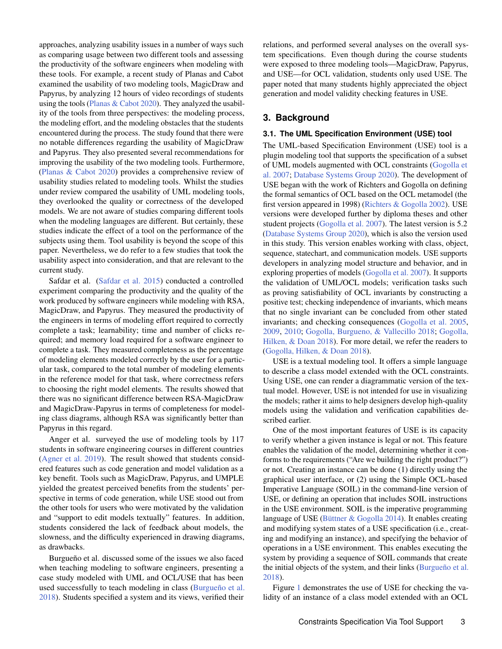approaches, analyzing usability issues in a number of ways such as comparing usage between two different tools and assessing the productivity of the software engineers when modeling with these tools. For example, a recent study of Planas and Cabot examined the usability of two modeling tools, MagicDraw and Papyrus, by analyzing 12 hours of video recordings of students using the tools [\(Planas & Cabot](#page-15-20) [2020\)](#page-15-20). They analyzed the usability of the tools from three perspectives: the modeling process, the modeling effort, and the modeling obstacles that the students encountered during the process. The study found that there were no notable differences regarding the usability of MagicDraw and Papyrus. They also presented several recommendations for improving the usability of the two modeling tools. Furthermore, [\(Planas & Cabot](#page-15-20) [2020\)](#page-15-20) provides a comprehensive review of usability studies related to modeling tools. Whilst the studies under review compared the usability of UML modeling tools, they overlooked the quality or correctness of the developed models. We are not aware of studies comparing different tools when the modeling languages are different. But certainly, these studies indicate the effect of a tool on the performance of the subjects using them. Tool usability is beyond the scope of this paper. Nevertheless, we do refer to a few studies that took the usability aspect into consideration, and that are relevant to the current study.

Safdar et al. [\(Safdar et al.](#page-15-19) [2015\)](#page-15-19) conducted a controlled experiment comparing the productivity and the quality of the work produced by software engineers while modeling with RSA, MagicDraw, and Papyrus. They measured the productivity of the engineers in terms of modeling effort required to correctly complete a task; learnability; time and number of clicks required; and memory load required for a software engineer to complete a task. They measured completeness as the percentage of modeling elements modeled correctly by the user for a particular task, compared to the total number of modeling elements in the reference model for that task, where correctness refers to choosing the right model elements. The results showed that there was no significant difference between RSA-MagicDraw and MagicDraw-Papyrus in terms of completeness for modeling class diagrams, although RSA was significantly better than Papyrus in this regard.

Anger et al. surveyed the use of modeling tools by 117 students in software engineering courses in different countries [\(Agner et al.](#page-14-17) [2019\)](#page-14-17). The result showed that students considered features such as code generation and model validation as a key benefit. Tools such as MagicDraw, Papyrus, and UMPLE yielded the greatest perceived benefits from the students' perspective in terms of code generation, while USE stood out from the other tools for users who were motivated by the validation and "support to edit models textually" features. In addition, students considered the lack of feedback about models, the slowness, and the difficulty experienced in drawing diagrams, as drawbacks.

Burgueño et al. discussed some of the issues we also faced when teaching modeling to software engineers, presenting a case study modeled with UML and OCL/USE that has been used successfully to teach modeling in class [\(Burgueño et al.](#page-14-20) [2018\)](#page-14-20). Students specified a system and its views, verified their

relations, and performed several analyses on the overall system specifications. Even though during the course students were exposed to three modeling tools—MagicDraw, Papyrus, and USE—for OCL validation, students only used USE. The paper noted that many students highly appreciated the object generation and model validity checking features in USE.

## <span id="page-2-0"></span>**3. Background**

#### **3.1. The UML Specification Environment (USE) tool**

The UML-based Specification Environment (USE) tool is a plugin modeling tool that supports the specification of a subset of UML models augmented with OCL constraints [\(Gogolla et](#page-14-2) [al.](#page-14-2) [2007;](#page-14-2) [Database Systems Group](#page-14-21) [2020\)](#page-14-21). The development of USE began with the work of Richters and Gogolla on defining the formal semantics of OCL based on the OCL metamodel (the first version appeared in 1998) [\(Richters & Gogolla](#page-15-21) [2002\)](#page-15-21). USE versions were developed further by diploma theses and other student projects [\(Gogolla et al.](#page-14-2) [2007\)](#page-14-2). The latest version is 5.2 [\(Database Systems Group](#page-14-21) [2020\)](#page-14-21), which is also the version used in this study. This version enables working with class, object, sequence, statechart, and communication models. USE supports developers in analyzing model structure and behavior, and in exploring properties of models [\(Gogolla et al.](#page-14-2) [2007\)](#page-14-2). It supports the validation of UML/OCL models; verification tasks such as proving satisfiability of OCL invariants by constructing a positive test; checking independence of invariants, which means that no single invariant can be concluded from other stated invariants; and checking consequences [\(Gogolla et al.](#page-14-10) [2005,](#page-14-10) [2009,](#page-14-22) [2010;](#page-14-23) [Gogolla, Burgueno, & Vallecillo](#page-14-24) [2018;](#page-14-24) [Gogolla,](#page-14-7) [Hilken, & Doan](#page-14-7) [2018\)](#page-14-7). For more detail, we refer the readers to [\(Gogolla, Hilken, & Doan](#page-14-7) [2018\)](#page-14-7).

USE is a textual modeling tool. It offers a simple language to describe a class model extended with the OCL constraints. Using USE, one can render a diagrammatic version of the textual model. However, USE is not intended for use in visualizing the models; rather it aims to help designers develop high-quality models using the validation and verification capabilities described earlier.

One of the most important features of USE is its capacity to verify whether a given instance is legal or not. This feature enables the validation of the model, determining whether it conforms to the requirements ("Are we building the right product?") or not. Creating an instance can be done (1) directly using the graphical user interface, or (2) using the Simple OCL-based Imperative Language (SOIL) in the command-line version of USE, or defining an operation that includes SOIL instructions in the USE environment. SOIL is the imperative programming language of USE [\(Büttner & Gogolla](#page-14-25) [2014\)](#page-14-25). It enables creating and modifying system states of a USE specification (i.e., creating and modifying an instance), and specifying the behavior of operations in a USE environment. This enables executing the system by providing a sequence of SOIL commands that create the initial objects of the system, and their links [\(Burgueño et al.](#page-14-20) [2018\)](#page-14-20).

Figure [1](#page-3-0) demonstrates the use of USE for checking the validity of an instance of a class model extended with an OCL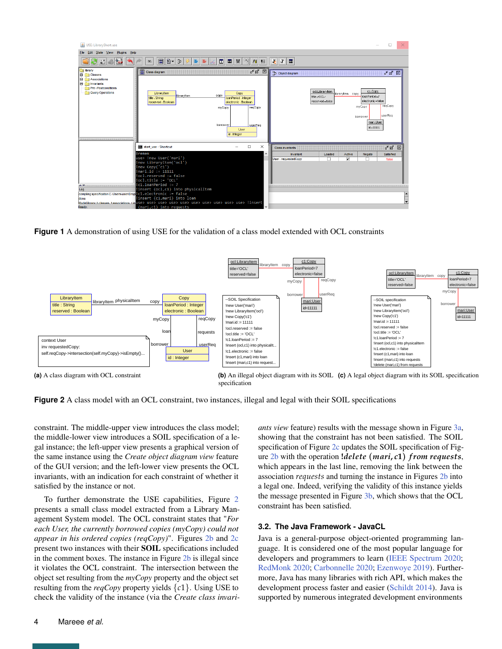<span id="page-3-0"></span>

<span id="page-3-1"></span>**Figure 1** A demonstration of using USE for the validation of a class model extended with OCL constraints

<span id="page-3-4"></span>

**Figure 2** A class model with an OCL constraint, two instances, illegal and legal with their SOIL specifications

constraint. The middle-upper view introduces the class model; the middle-lower view introduces a SOIL specification of a legal instance; the left-upper view presents a graphical version of the same instance using the *Create object diagram view* feature of the GUI version; and the left-lower view presents the OCL invariants, with an indication for each constraint of whether it satisfied by the instance or not.

To further demonstrate the USE capabilities, Figure [2](#page-3-1) presents a small class model extracted from a Library Management System model. The OCL constraint states that "*For each User, the currently borrowed copies (myCopy) could not appear in his ordered copies (reqCopy)*". Figures [2b](#page-3-2) and [2c](#page-3-3) present two instances with their SOIL specifications included in the comment boxes. The instance in Figure [2b](#page-3-2) is illegal since it violates the OCL constraint. The intersection between the object set resulting from the *myCopy* property and the object set resulting from the *reqCopy* property yields {*c*1}. Using USE to check the validity of the instance (via the *Create class invari-* <span id="page-3-3"></span><span id="page-3-2"></span>*ants view* feature) results with the message shown in Figure [3a,](#page-4-1) showing that the constraint has not been satisfied. The SOIL specification of Figure [2c](#page-3-3) updates the SOIL specification of Figure [2b](#page-3-2) with the operation **!***delete* (*mari***,** *c***1**) *f rom requests*, which appears in the last line, removing the link between the association *requests* and turning the instance in Figures [2b](#page-3-2) into a legal one. Indeed, verifying the validity of this instance yields the message presented in Figure [3b,](#page-4-2) which shows that the OCL constraint has been satisfied.

#### **3.2. The Java Framework - JavaCL**

Java is a general-purpose object-oriented programming language. It is considered one of the most popular language for developers and programmers to learn [\(IEEE Spectrum](#page-15-22) [2020;](#page-15-22) [RedMonk](#page-15-23) [2020;](#page-15-23) [Carbonnelle](#page-14-26) [2020;](#page-14-26) [Ezenwoye](#page-14-27) [2019\)](#page-14-27). Furthermore, Java has many libraries with rich API, which makes the development process faster and easier [\(Schildt](#page-15-24) [2014\)](#page-15-24). Java is supported by numerous integrated development environments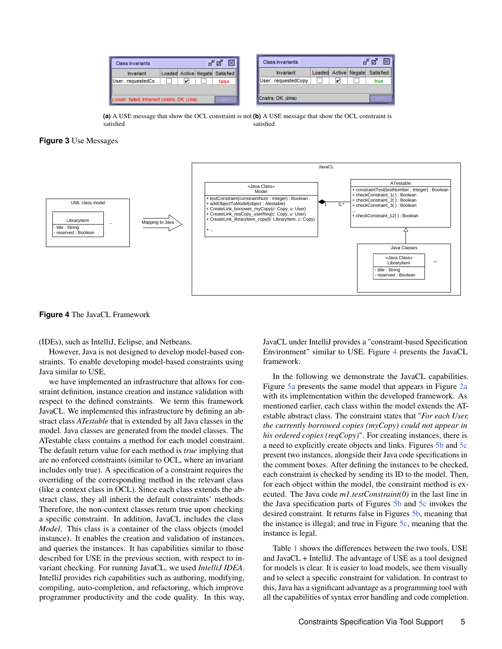<span id="page-4-1"></span>

| ⊠<br>막 직.<br><b>Class invariants</b>                                   |  |   |  |                                | <b>Class invariants</b>                           |  |      | ď |  |
|------------------------------------------------------------------------|--|---|--|--------------------------------|---------------------------------------------------|--|------|---|--|
| Invariant                                                              |  |   |  | Loaded Active Negate Satisfied | Loaded Active Negate<br>Satisfied II<br>Invariant |  |      |   |  |
| UserrequestedCo                                                        |  | v |  | false                          | UserrequestedCopy<br>V                            |  | true |   |  |
|                                                                        |  |   |  |                                |                                                   |  |      |   |  |
| Cnstrs. OK. (8ms)<br>cnstr. failed. Inherent cnstrs. OK. (1ms)<br>100% |  |   |  |                                |                                                   |  |      |   |  |

<span id="page-4-2"></span>**(a)** A USE message that show the OCL constraint is not **(b)** A USE message that show the OCL constraint is satisfied satisfied

**Figure 3** Use Messages

<span id="page-4-3"></span>

**Figure 4** The JavaCL Framework

(IDEs), such as IntelliJ, Eclipse, and Netbeans.

However, Java is not designed to develop model-based constraints. To enable developing model-based constraints using Java similar to USE,

we have implemented an infrastructure that allows for constraint definition, instance creation and instance validation with respect to the defined constraints. We term this framework JavaCL. We implemented this infrastructure by defining an abstract class *ATestable* that is extended by all Java classes in the model. Java classes are generated from the model classes. The ATestable class contains a method for each model constraint. The default return value for each method is *true* implying that are no enforced constraints (similar to OCL, where an invariant includes only true). A specification of a constraint requires the overriding of the corresponding method in the relevant class (like a context class in OCL). Since each class extends the abstract class, they all inherit the default constraints' methods. Therefore, the non-context classes return true upon checking a specific constraint. In addition, JavaCL includes the class *Model*. This class is a container of the class objects (model instance). It enables the creation and validation of instances, and queries the instances. It has capabilities similar to those described for USE in the previous section, with respect to invariant checking. For running JavaCL, we used *IntelliJ IDEA*. IntelliJ provides rich capabilities such as authoring, modifying, compiling, auto-completion, and refactoring, which improve programmer productivity and the code quality. In this way,

JavaCL under IntelliJ provides a "constraint-based Specification Environment" similar to USE. Figure [4](#page-4-3) presents the JavaCL framework.

In the following we demonstrate the JavaCL capabilities. Figure [5a](#page-5-0) presents the same model that appears in Figure [2a](#page-3-4) with its implementation within the developed framework. As mentioned earlier, each class within the model extends the ATestable abstract class. The constraint states that "*For each User, the currently borrowed copies (myCopy) could not appear in his ordered copies (reqCopy)*". For creating instances, there is a need to explicitly create objects and links. Figures [5b](#page-5-1) and [5c](#page-5-2) present two instances, alongside their Java code specifications in the comment boxes. After defining the instances to be checked, each constraint is checked by sending its ID to the model. Then, for each object within the model, the constraint method is executed. The Java code *m1.testConstraint(0)* in the last line in the Java specification parts of Figures [5b](#page-5-1) and [5c](#page-5-2) invokes the desired constraint. It returns false in Figures [5b,](#page-5-1) meaning that the instance is illegal; and true in Figure [5c,](#page-5-2) meaning that the instance is legal.

<span id="page-4-0"></span>Table [1](#page-6-0) shows the differences between the two tools, USE and JavaCL + IntelliJ. The advantage of USE as a tool designed for models is clear. It is easier to load models, see them visually and to select a specific constraint for validation. In contrast to this, Java has a significant advantage as a programming tool with all the capabilities of syntax error handling and code completion.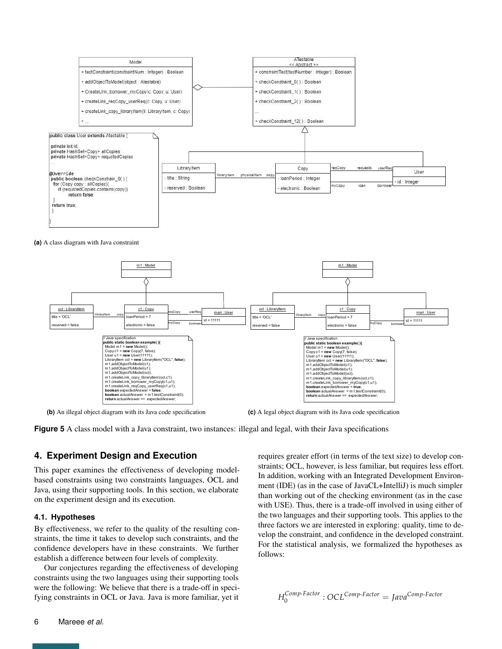<span id="page-5-0"></span>

<span id="page-5-1"></span>



**(b)** An illegal object diagram with its Java code specification

<span id="page-5-2"></span>**(c)** A legal object diagram with its Java code specification

**Figure 5** A class model with a Java constraint, two instances: illegal and legal, with their Java specifications

#### **4. Experiment Design and Execution**

This paper examines the effectiveness of developing modelbased constraints using two constraints languages, OCL and Java, using their supporting tools. In this section, we elaborate on the experiment design and its execution.

#### **4.1. Hypotheses**

By effectiveness, we refer to the quality of the resulting constraints, the time it takes to develop such constraints, and the confidence developers have in these constraints. We further establish a difference between four levels of complexity.

Our conjectures regarding the effectiveness of developing constraints using the two languages using their supporting tools were the following: We believe that there is a trade-off in specifying constraints in OCL or Java. Java is more familiar, yet it

requires greater effort (in terms of the text size) to develop constraints; OCL, however, is less familiar, but requires less effort. In addition, working with an Integrated Development Environment (IDE) (as in the case of JavaCL+IntelliJ) is much simpler than working out of the checking environment (as in the case with USE). Thus, there is a trade-off involved in using either of the two languages and their supporting tools. This applies to the three factors we are interested in exploring: quality, time to develop the constraint, and confidence in the developed constraint. For the statistical analysis, we formalized the hypotheses as follows:

$$
H_0^{Comp\text{-}Factor}: OCL^{Comp\text{-}Factor} = Java^{Comp\text{-}Factor}
$$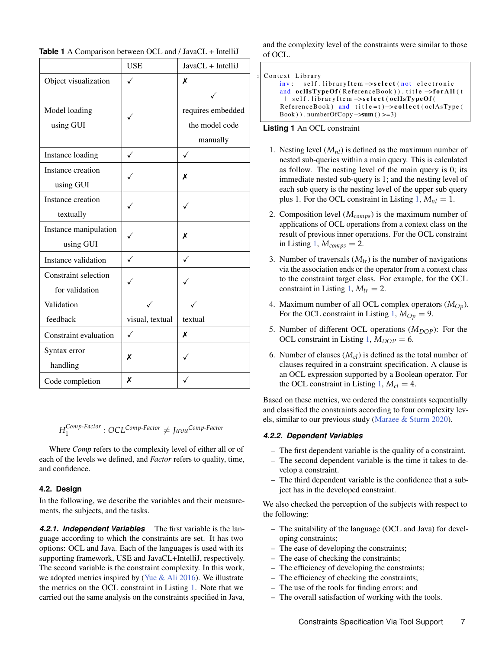|                             | <b>USE</b>      | JavaCL + IntelliJ |
|-----------------------------|-----------------|-------------------|
| Object visualization        | ✓               | X                 |
|                             |                 |                   |
| Model loading               |                 | requires embedded |
| using GUI                   |                 | the model code    |
|                             |                 | manually          |
| Instance loading            | $\checkmark$    | ✓                 |
| Instance creation           |                 | Х                 |
| using GUI                   |                 |                   |
| Instance creation           |                 |                   |
| textually                   |                 |                   |
| Instance manipulation       |                 | Х                 |
| using GUI                   |                 |                   |
| Instance validation         | ✓               | ✓                 |
| <b>Constraint selection</b> |                 |                   |
| for validation              |                 |                   |
| Validation                  |                 |                   |
| feedback                    | visual, textual | textual           |
| Constraint evaluation       | ✓               | Х                 |
| Syntax error                | Х               |                   |
| handling                    |                 |                   |
| Code completion             | X               |                   |

<span id="page-6-0"></span>**Table 1** A Comparison between OCL and / JavaCL + IntelliJ

*H Comp*-*Factor* 1 : *OCLComp*-*Factor* 6= *JavaComp*-*Factor*

Where *Comp* refers to the complexity level of either all or of each of the levels we defined, and *Factor* refers to quality, time, and confidence.

### **4.2. Design**

In the following, we describe the variables and their measurements, the subjects, and the tasks.

*4.2.1. Independent Variables* The first variable is the language according to which the constraints are set. It has two options: OCL and Java. Each of the languages is used with its supporting framework, USE and JavaCL+IntelliJ, respectively. The second variable is the constraint complexity. In this work, we adopted metrics inspired by [\(Yue & Ali](#page-15-2) [2016\)](#page-15-2). We illustrate the metrics on the OCL constraint in Listing [1.](#page-6-1) Note that we carried out the same analysis on the constraints specified in Java,

and the complexity level of the constraints were similar to those of OCL.

```
Context Library
    inv: self.libraryItem ->select (not electronic
    and oclIsTypeOf (ReferenceBook)). title \rightarrowfor All (t
     | self.libraryItem ->select (oclIsTypeOf (
    ReferenceBook) and title=t)->collect (oclAsType (
    Book ) ) . numberOfCopy−>sum ( ) >=3)
```
#### **Listing 1** An OCL constraint

- 1. Nesting level  $(M_{nl})$  is defined as the maximum number of nested sub-queries within a main query. This is calculated as follow. The nesting level of the main query is 0; its immediate nested sub-query is 1; and the nesting level of each sub query is the nesting level of the upper sub query plus 1. For the OCL constraint in Listing  $1, M_{nl} = 1$  $1, M_{nl} = 1$ .
- 2. Composition level (*Mcomps*) is the maximum number of applications of OCL operations from a context class on the result of previous inner operations. For the OCL constraint in Listing [1,](#page-6-1)  $M_{comps} = 2$ .
- 3. Number of traversals (*Mtr*) is the number of navigations via the association ends or the operator from a context class to the constraint target class. For example, for the OCL constraint in Listing [1,](#page-6-1)  $M_{tr} = 2$ .
- 4. Maximum number of all OCL complex operators (*MOp*). For the OCL constraint in Listing [1,](#page-6-1)  $M_{Op} = 9$ .
- 5. Number of different OCL operations  $(M_{DOP})$ : For the OCL constraint in Listing [1,](#page-6-1)  $M_{DOP} = 6$ .
- 6. Number of clauses  $(M<sub>cl</sub>)$  is defined as the total number of clauses required in a constraint specification. A clause is an OCL expression supported by a Boolean operator. For the OCL constraint in Listing [1,](#page-6-1)  $M_{cl} = 4$ .

Based on these metrics, we ordered the constraints sequentially and classified the constraints according to four complexity levels, similar to our previous study [\(Maraee & Sturm](#page-15-4) [2020\)](#page-15-4).

#### *4.2.2. Dependent Variables*

- The first dependent variable is the quality of a constraint.
- The second dependent variable is the time it takes to develop a constraint.
- The third dependent variable is the confidence that a subject has in the developed constraint.

We also checked the perception of the subjects with respect to the following:

- The suitability of the language (OCL and Java) for developing constraints;
- The ease of developing the constraints;
- The ease of checking the constraints;
- The efficiency of developing the constraints;
- The efficiency of checking the constraints;
- The use of the tools for finding errors; and
- The overall satisfaction of working with the tools.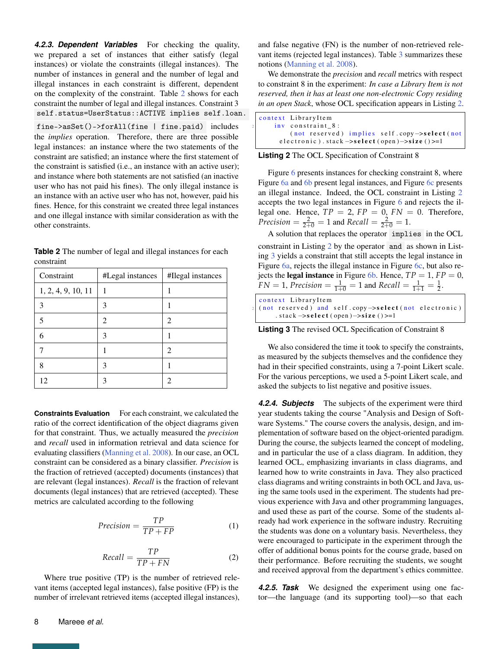*4.2.3. Dependent Variables* For checking the quality, we prepared a set of instances that either satisfy (legal instances) or violate the constraints (illegal instances). The number of instances in general and the number of legal and illegal instances in each constraint is different, dependent on the complexity of the constraint. Table [2](#page-7-0) shows for each constraint the number of legal and illegal instances. Constraint 3 self.status=UserStatus::ACTIVE implies self.loan.

fine->asSet()->forAll(fine | fine.paid) includes the *implies* operation. Therefore, there are three possible legal instances: an instance where the two statements of the constraint are satisfied; an instance where the first statement of the constraint is satisfied (i.e., an instance with an active user); and instance where both statements are not satisfied (an inactive user who has not paid his fines). The only illegal instance is an instance with an active user who has not, however, paid his fines. Hence, for this constraint we created three legal instances and one illegal instance with similar consideration as with the other constraints.

<span id="page-7-0"></span>

| <b>Table 2</b> The number of legal and illegal instances for each |  |  |
|-------------------------------------------------------------------|--|--|
| constraint                                                        |  |  |

| Constraint         | #Legal instances | #Ilegal instances |
|--------------------|------------------|-------------------|
| 1, 2, 4, 9, 10, 11 |                  |                   |
| 3                  | 3                |                   |
| 5                  | 2                | 2                 |
| 6                  | 3                |                   |
|                    |                  | $\mathfrak{D}$    |
| 8                  | 3                |                   |
| 12                 |                  | ി                 |

**Constraints Evaluation** For each constraint, we calculated the ratio of the correct identification of the object diagrams given for that constraint. Thus, we actually measured the *precision* and *recall* used in information retrieval and data science for evaluating classifiers [\(Manning et al.](#page-15-25) [2008\)](#page-15-25). In our case, an OCL constraint can be considered as a binary classifier. *Precision* is the fraction of retrieved (accepted) documents (instances) that are relevant (legal instances). *Recall* is the fraction of relevant documents (legal instances) that are retrieved (accepted). These metrics are calculated according to the following

$$
Precision = \frac{TP}{TP + FP}
$$
 (1)

$$
Recall = \frac{TP}{TP + FN}
$$
 (2)

Where true positive (TP) is the number of retrieved relevant items (accepted legal instances), false positive (FP) is the number of irrelevant retrieved items (accepted illegal instances),

and false negative (FN) is the number of non-retrieved relevant items (rejected legal instances). Table [3](#page-8-1) summarizes these notions [\(Manning et al.](#page-15-25) [2008\)](#page-15-25).

We demonstrate the *precision* and *recall* metrics with respect to constraint 8 in the experiment: *In case a Library Item is not reserved, then it has at least one non-electronic Copy residing in an open Stack*, whose OCL specification appears in Listing [2.](#page-7-1)

<span id="page-7-1"></span>

| context LibraryItem                                                    |  |
|------------------------------------------------------------------------|--|
| inv constraint 8:                                                      |  |
| $(not$ reserved) implies self.copy $\rightarrow$ select(not            |  |
| electronic).stack $\rightarrow$ select (open) $\rightarrow$ size ()>=1 |  |

**Listing 2** The OCL Specification of Constraint 8

Figure [6](#page-8-2) presents instances for checking constraint 8, where Figure [6a](#page-8-3) and [6b](#page-8-4) present legal instances, and Figure [6c](#page-8-5) presents an illegal instance. Indeed, the OCL constraint in Listing [2](#page-7-1) accepts the two legal instances in Figure [6](#page-8-2) and rejects the illegal one. Hence,  $TP = 2$ ,  $FP = 0$ ,  $FN = 0$ . Therefore, *Precision* =  $\frac{2}{2+0}$  = 1 and *Recall* =  $\frac{2}{2+0}$  = 1.

A solution that replaces the operator implies in the OCL constraint in Listing [2](#page-7-1) by the operator and as shown in Listing [3](#page-7-2) yields a constraint that still accepts the legal instance in Figure [6a,](#page-8-3) rejects the illegal instance in Figure [6c,](#page-8-5) but also rejects the **legal instance** in Figure [6b.](#page-8-4) Hence,  $TP = 1$ ,  $FP = 0$ ,  $FN = 1$ ,  $Precision = \frac{1}{1+0} = 1$  and  $Recall = \frac{1}{1+1} = \frac{1}{2}$ .

<span id="page-7-2"></span>

| context LibraryItem<br>$_2$ (not reserved) and self.copy $\rightarrow$ select(not electronic)<br>$: stack \rightarrow select(open) \rightarrow size() \rightarrow = 1$ |
|------------------------------------------------------------------------------------------------------------------------------------------------------------------------|
|------------------------------------------------------------------------------------------------------------------------------------------------------------------------|

**Listing 3** The revised OCL Specification of Constraint 8

We also considered the time it took to specify the constraints, as measured by the subjects themselves and the confidence they had in their specified constraints, using a 7-point Likert scale. For the various perceptions, we used a 5-point Likert scale, and asked the subjects to list negative and positive issues.

*4.2.4. Subjects* The subjects of the experiment were third year students taking the course "Analysis and Design of Software Systems." The course covers the analysis, design, and implementation of software based on the object-oriented paradigm. During the course, the subjects learned the concept of modeling, and in particular the use of a class diagram. In addition, they learned OCL, emphasizing invariants in class diagrams, and learned how to write constraints in Java. They also practiced class diagrams and writing constraints in both OCL and Java, using the same tools used in the experiment. The students had previous experience with Java and other programming languages, and used these as part of the course. Some of the students already had work experience in the software industry. Recruiting the students was done on a voluntary basis. Nevertheless, they were encouraged to participate in the experiment through the offer of additional bonus points for the course grade, based on their performance. Before recruiting the students, we sought and received approval from the department's ethics committee.

*4.2.5. Task* We designed the experiment using one factor—the language (and its supporting tool)—so that each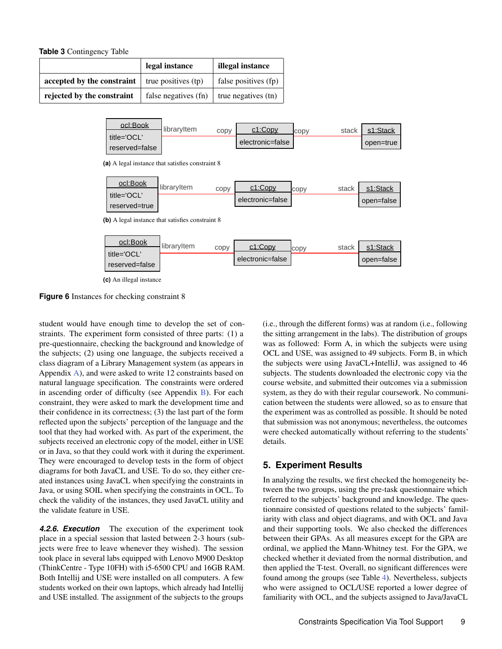<span id="page-8-1"></span>**Table 3** Contingency Table

<span id="page-8-3"></span><span id="page-8-2"></span>

|                                                               | legal instance       | illegal instance     |  |
|---------------------------------------------------------------|----------------------|----------------------|--|
| <b>accepted by the constraint</b> $\vert$ true positives (tp) |                      | false positives (fp) |  |
| rejected by the constraint                                    | false negatives (fn) | true negatives (tn)  |  |



<span id="page-8-4"></span>**(a)** A legal instance that satisfies constraint 8

| ocl:Book      | libraryltem | copy | c1:Copy          |      | stack | s1:Stack   |
|---------------|-------------|------|------------------|------|-------|------------|
| title='OCL'   |             |      |                  | CODV |       |            |
|               |             |      | electronic=false |      |       | open=false |
| reserved=true |             |      |                  |      |       |            |

<span id="page-8-5"></span>**(b)** A legal instance that satisfies constraint 8



**(c)** An illegal instance

**Figure 6** Instances for checking constraint 8

student would have enough time to develop the set of constraints. The experiment form consisted of three parts: (1) a pre-questionnaire, checking the background and knowledge of the subjects; (2) using one language, the subjects received a class diagram of a Library Management system (as appears in Appendix [A\)](#page-16-0), and were asked to write 12 constraints based on natural language specification. The constraints were ordered in ascending order of difficulty (see Appendix [B\)](#page-16-1). For each constraint, they were asked to mark the development time and their confidence in its correctness; (3) the last part of the form reflected upon the subjects' perception of the language and the tool that they had worked with. As part of the experiment, the subjects received an electronic copy of the model, either in USE or in Java, so that they could work with it during the experiment. They were encouraged to develop tests in the form of object diagrams for both JavaCL and USE. To do so, they either created instances using JavaCL when specifying the constraints in Java, or using SOIL when specifying the constraints in OCL. To check the validity of the instances, they used JavaCL utility and the validate feature in USE.

*4.2.6. Execution* The execution of the experiment took place in a special session that lasted between 2-3 hours (subjects were free to leave whenever they wished). The session took place in several labs equipped with Lenovo M900 Desktop (ThinkCentre - Type 10FH) with i5-6500 CPU and 16GB RAM. Both Intellij and USE were installed on all computers. A few students worked on their own laptops, which already had Intellij and USE installed. The assignment of the subjects to the groups

(i.e., through the different forms) was at random (i.e., following the sitting arrangement in the labs). The distribution of groups was as followed: Form A, in which the subjects were using OCL and USE, was assigned to 49 subjects. Form B, in which the subjects were using JavaCL+IntelliJ, was assigned to 46 subjects. The students downloaded the electronic copy via the course website, and submitted their outcomes via a submission system, as they do with their regular coursework. No communication between the students were allowed, so as to ensure that the experiment was as controlled as possible. It should be noted that submission was not anonymous; nevertheless, the outcomes were checked automatically without referring to the students' details.

# <span id="page-8-0"></span>**5. Experiment Results**

In analyzing the results, we first checked the homogeneity between the two groups, using the pre-task questionnaire which referred to the subjects' background and knowledge. The questionnaire consisted of questions related to the subjects' familiarity with class and object diagrams, and with OCL and Java and their supporting tools. We also checked the differences between their GPAs. As all measures except for the GPA are ordinal, we applied the Mann-Whitney test. For the GPA, we checked whether it deviated from the normal distribution, and then applied the T-test. Overall, no significant differences were found among the groups (see Table [4\)](#page-10-0). Nevertheless, subjects who were assigned to OCL/USE reported a lower degree of familiarity with OCL, and the subjects assigned to Java/JavaCL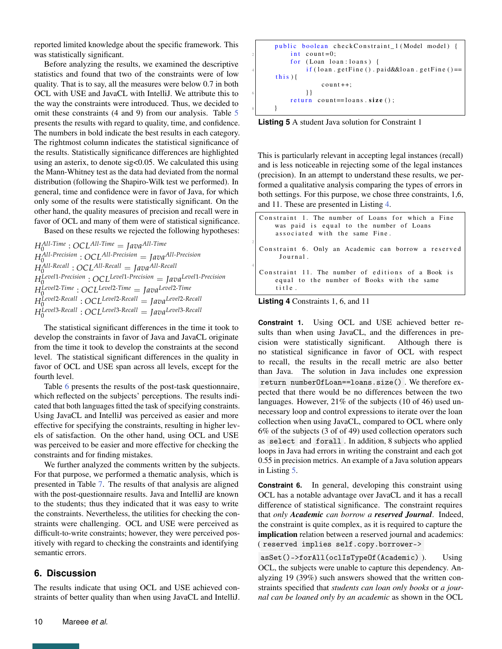reported limited knowledge about the specific framework. This was statistically significant.

Before analyzing the results, we examined the descriptive statistics and found that two of the constraints were of low quality. That is to say, all the measures were below 0.7 in both OCL with USE and JavaCL with IntelliJ. We attribute this to the way the constraints were introduced. Thus, we decided to omit these constraints (4 and 9) from our analysis. Table [5](#page-10-1) presents the results with regard to quality, time, and confidence. The numbers in bold indicate the best results in each category. The rightmost column indicates the statistical significance of the results. Statistically significance differences are highlighted using an asterix, to denote sig<0.05. We calculated this using the Mann-Whitney test as the data had deviated from the normal distribution (following the Shapiro-Wilk test we performed). In general, time and confidence were in favor of Java, for which only some of the results were statistically significant. On the other hand, the quality measures of precision and recall were in favor of OCL and many of them were of statistical significance.

Based on these results we rejected the following hypotheses:

*HAll*-*Time* : *OCLAll*-*Time* = *JavaAll*-*Time* 0 *HAll*-*Precision* : *OCLAll*-*Precision* = *JavaAll*-*Precision* 0 *HAll*-*Recall* 0 : *OCLAll*-*Recall* = *JavaAll*-*Recall HLevel*1-*Precision* 0 : *OCLLevel*1-*Precision* = *JavaLevel*1-*Precision HLevel*2-*Time* : *OCLLevel*2-*Time* = *JavaLevel*2-*Time* 0 *HLevel*2-*Recall* : *OCLLevel*2-*Recall* = *JavaLevel*2-*Recall* 0 *HLevel*3-*Recall* 0 : *OCLLevel*3-*Recall* = *JavaLevel*3-*Recall*

The statistical significant differences in the time it took to develop the constraints in favor of Java and JavaCL originate from the time it took to develop the constraints at the second level. The statistical significant differences in the quality in favor of OCL and USE span across all levels, except for the fourth level.

Table [6](#page-11-0) presents the results of the post-task questionnaire, which reflected on the subjects' perceptions. The results indicated that both languages fitted the task of specifying constraints. Using JavaCL and IntelliJ was perceived as easier and more effective for specifying the constraints, resulting in higher levels of satisfaction. On the other hand, using OCL and USE was perceived to be easier and more effective for checking the constraints and for finding mistakes.

We further analyzed the comments written by the subjects. For that purpose, we performed a thematic analysis, which is presented in Table [7.](#page-11-1) The results of that analysis are aligned with the post-questionnaire results. Java and IntelliJ are known to the students; thus they indicated that it was easy to write the constraints. Nevertheless, the utilities for checking the constraints were challenging. OCL and USE were perceived as difficult-to-write constraints; however, they were perceived positively with regard to checking the constraints and identifying semantic errors.

# <span id="page-9-0"></span>**6. Discussion**

The results indicate that using OCL and USE achieved constraints of better quality than when using JavaCL and IntelliJ.

```
public boolean checkConstraint_1 (Model model) {
    int count=0;
    for (Loan loan: loans) {
          if ( loan . get Fine () . paid & loan . get Fine () =\th i s) {
               count++:
          6 }}
    r e turn count == loans .size();
\mathcal{E}
```
**Listing 5** A student Java solution for Constraint 1

This is particularly relevant in accepting legal instances (recall) and is less noticeable in rejecting some of the legal instances (precision). In an attempt to understand these results, we performed a qualitative analysis comparing the types of errors in both settings. For this purpose, we chose three constraints, 1,6, and 11. These are presented in Listing [4.](#page-9-1)

<span id="page-9-1"></span>

| Constraint 1. The number of Loans for which a Fine<br>was paid is equal to the number of Loans<br>associated with the same Fine. |
|----------------------------------------------------------------------------------------------------------------------------------|
| Constraint 6. Only an Academic can borrow a reserved<br>Journal.                                                                 |
| Constraint 11. The number of editions of a Book is<br>equal to the number of Books with the same<br>title.                       |



2

4

**Constraint 1.** Using OCL and USE achieved better results than when using JavaCL, and the differences in precision were statistically significant. Although there is no statistical significance in favor of OCL with respect to recall, the results in the recall metric are also better than Java. The solution in Java includes one expression return numberOfLoan==loans.size() . We therefore expected that there would be no differences between the two languages. However, 21% of the subjects (10 of 46) used unnecessary loop and control expressions to iterate over the loan collection when using JavaCL, compared to OCL where only 6% of the subjects (3 of of 49) used collection operators such as select and forall . In addition, 8 subjects who applied loops in Java had errors in writing the constraint and each got 0.55 in precision metrics. An example of a Java solution appears in Listing [5.](#page-9-2)

**Constraint 6.** In general, developing this constraint using OCL has a notable advantage over JavaCL and it has a recall difference of statistical significance. The constraint requires that *only Academic can borrow a reserved Journal*. Indeed, the constraint is quite complex, as it is required to capture the implication relation between a reserved journal and academics: ( reserved implies self.copy.borrower->

asSet()->forAll(oclIsTypeOf(Academic) ). Using OCL, the subjects were unable to capture this dependency. Analyzing 19 (39%) such answers showed that the written constraints specified that *students can loan only books* or *a journal can be loaned only by an academic* as shown in the OCL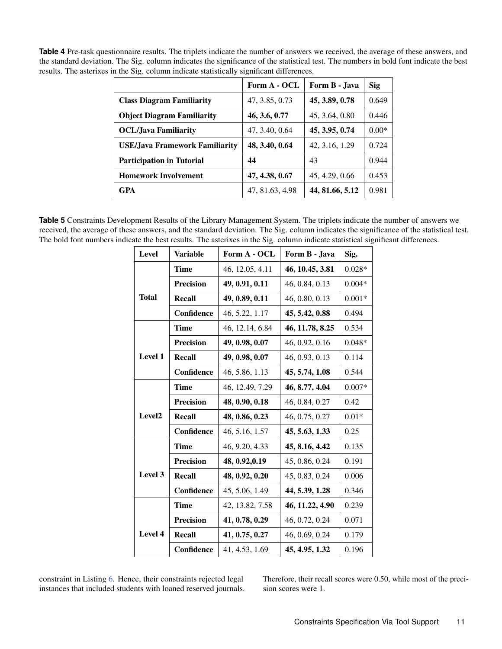<span id="page-10-0"></span>

| <b>Table 4</b> Pre-task questionnaire results. The triplets indicate the number of answers we received, the average of these answers, and |
|-------------------------------------------------------------------------------------------------------------------------------------------|
| the standard deviation. The Sig. column indicates the significance of the statistical test. The numbers in bold font indicate the best    |
| results. The asterixes in the Sig. column indicate statistically significant differences.                                                 |

|                                       | Form A - OCL    | Form B - Java   | <b>Sig</b> |
|---------------------------------------|-----------------|-----------------|------------|
| <b>Class Diagram Familiarity</b>      | 47, 3.85, 0.73  | 45, 3.89, 0.78  | 0.649      |
| <b>Object Diagram Familiarity</b>     | 46, 3.6, 0.77   | 45, 3.64, 0.80  | 0.446      |
| <b>OCL/Java Familiarity</b>           | 47, 3.40, 0.64  | 45, 3.95, 0.74  | $0.00*$    |
| <b>USE/Java Framework Familiarity</b> | 48, 3.40, 0.64  | 42, 3.16, 1.29  | 0.724      |
| <b>Participation in Tutorial</b>      | 44              | 43              | 0.944      |
| <b>Homework Involvement</b>           | 47, 4.38, 0.67  | 45, 4.29, 0.66  | 0.453      |
| <b>GPA</b>                            | 47, 81.63, 4.98 | 44, 81.66, 5.12 | 0.981      |

<span id="page-10-1"></span>**Table 5** Constraints Development Results of the Library Management System. The triplets indicate the number of answers we received, the average of these answers, and the standard deviation. The Sig. column indicates the significance of the statistical test. The bold font numbers indicate the best results. The asterixes in the Sig. column indicate statistical significant differences.

| <b>Level</b>       | <b>Variable</b>  | Form A - OCL    | Form B - Java   | Sig.     |
|--------------------|------------------|-----------------|-----------------|----------|
|                    | Time             | 46, 12.05, 4.11 | 46, 10.45, 3.81 | $0.028*$ |
|                    | <b>Precision</b> | 49, 0.91, 0.11  | 46, 0.84, 0.13  | $0.004*$ |
| Total<br>Recall    |                  | 49, 0.89, 0.11  | 46, 0.80, 0.13  | $0.001*$ |
|                    | Confidence       | 46, 5.22, 1.17  | 45, 5.42, 0.88  | 0.494    |
|                    | Time             | 46, 12.14, 6.84 | 46, 11.78, 8.25 | 0.534    |
|                    | <b>Precision</b> | 49, 0.98, 0.07  | 46, 0.92, 0.16  | $0.048*$ |
| Level 1            | <b>Recall</b>    | 49, 0.98, 0.07  | 46, 0.93, 0.13  | 0.114    |
|                    | Confidence       | 46, 5.86, 1.13  | 45, 5.74, 1.08  | 0.544    |
|                    | <b>Time</b>      | 46, 12.49, 7.29 | 46, 8.77, 4.04  | $0.007*$ |
|                    | <b>Precision</b> | 48, 0.90, 0.18  | 46, 0.84, 0.27  | 0.42     |
| Level <sub>2</sub> | <b>Recall</b>    | 48, 0.86, 0.23  | 46, 0.75, 0.27  | $0.01*$  |
|                    | Confidence       | 46, 5.16, 1.57  | 45, 5.63, 1.33  | 0.25     |
|                    | Time             | 46, 9.20, 4.33  | 45, 8.16, 4.42  | 0.135    |
|                    | <b>Precision</b> | 48, 0.92, 0.19  | 45, 0.86, 0.24  | 0.191    |
| Level 3            | <b>Recall</b>    | 48, 0.92, 0.20  | 45, 0.83, 0.24  | 0.006    |
|                    | Confidence       | 45, 5.06, 1.49  | 44, 5.39, 1.28  | 0.346    |
|                    | <b>Time</b>      | 42, 13.82, 7.58 | 46, 11.22, 4.90 | 0.239    |
|                    | <b>Precision</b> | 41, 0.78, 0.29  | 46, 0.72, 0.24  | 0.071    |
| Level 4            | <b>Recall</b>    | 41, 0.75, 0.27  | 46, 0.69, 0.24  | 0.179    |
|                    | Confidence       | 41, 4.53, 1.69  | 45, 4.95, 1.32  | 0.196    |

constraint in Listing [6.](#page-11-2) Hence, their constraints rejected legal instances that included students with loaned reserved journals. Therefore, their recall scores were 0.50, while most of the precision scores were 1.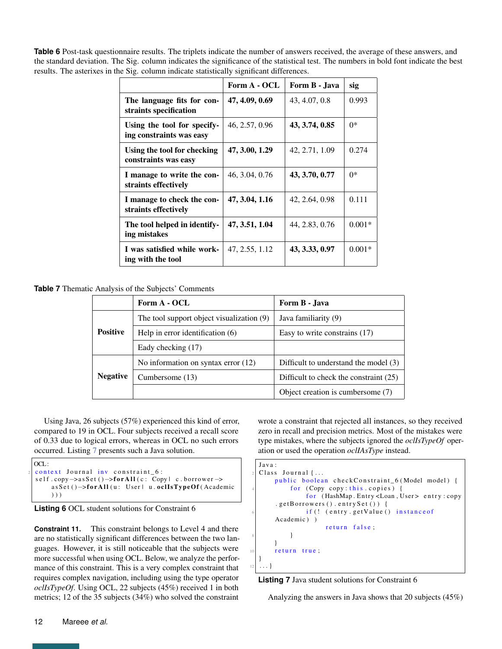<span id="page-11-0"></span>**Table 6** Post-task questionnaire results. The triplets indicate the number of answers received, the average of these answers, and the standard deviation. The Sig. column indicates the significance of the statistical test. The numbers in bold font indicate the best results. The asterixes in the Sig. column indicate statistically significant differences.

|                                                         | Form A - OCL   | Form B - Java  | sig      |
|---------------------------------------------------------|----------------|----------------|----------|
| The language fits for con-<br>straints specification    | 47, 4.09, 0.69 | 43, 4.07, 0.8  | 0.993    |
| Using the tool for specify-<br>ing constraints was easy | 46, 2.57, 0.96 | 43, 3.74, 0.85 | $0*$     |
| Using the tool for checking<br>constraints was easy     | 47, 3.00, 1.29 | 42, 2.71, 1.09 | 0.274    |
| I manage to write the con-<br>straints effectively      | 46, 3.04, 0.76 | 43, 3.70, 0.77 | $0*$     |
| I manage to check the con-<br>straints effectively      | 47, 3.04, 1.16 | 42, 2.64, 0.98 | 0.111    |
| The tool helped in identify-<br>ing mistakes            | 47, 3.51, 1.04 | 44, 2.83, 0.76 | $0.001*$ |
| I was satisfied while work-<br>ing with the tool        | 47, 2.55, 1.12 | 43, 3.33, 0.97 | $0.001*$ |

<span id="page-11-1"></span>**Table 7** Thematic Analysis of the Subjects' Comments

|                                                       | Form A - OCL                          | Form B - Java                          |  |
|-------------------------------------------------------|---------------------------------------|----------------------------------------|--|
| The tool support object visualization (9)             |                                       | Java familiarity (9)                   |  |
| <b>Positive</b><br>Help in error identification $(6)$ |                                       | Easy to write constrains (17)          |  |
|                                                       | Eady checking (17)                    |                                        |  |
|                                                       | No information on syntax error $(12)$ | Difficult to understand the model (3)  |  |
| <b>Negative</b>                                       | Cumbersome (13)                       | Difficult to check the constraint (25) |  |
|                                                       |                                       | Object creation is cumbersome (7)      |  |

Using Java, 26 subjects (57%) experienced this kind of error, compared to 19 in OCL. Four subjects received a recall score of 0.33 due to logical errors, whereas in OCL no such errors occurred. Listing [7](#page-11-3) presents such a Java solution.

```
OCL:
context Journal inv constraint 6:
self.copy->as Set ()->for All (c: Copy | c.borrower ->
    as Set () ->for All (u: User | u. oclIsTypeOf (Academic
    ) ) )
```


**Constraint 11.** This constraint belongs to Level 4 and there are no statistically significant differences between the two languages. However, it is still noticeable that the subjects were more successful when using OCL. Below, we analyze the performance of this constraint. This is a very complex constraint that requires complex navigation, including using the type operator *oclIsTypeOf*. Using OCL, 22 subjects (45%) received 1 in both metrics; 12 of the 35 subjects (34%) who solved the constraint wrote a constraint that rejected all instances, so they received zero in recall and precision metrics. Most of the mistakes were type mistakes, where the subjects ignored the *oclIsTypeOf* operation or used the operation *oclIAsType* instead.

```
Java:
  Class Journal \{ \ldots \}public boolean checkConstraint_6 (Model model) {
           for (Copy copy: this. copies)for (HashMap. Entry <Loan, User> entry: copy
       . get Borrows() . entry Set() ) { }if (! (entry . get Value () instance of
      Academic ) )
                     return false;
8 }
      }
      return true;
  }
12 \ldots \}
```
**Listing 7** Java student solutions for Constraint 6

Analyzing the answers in Java shows that 20 subjects (45%)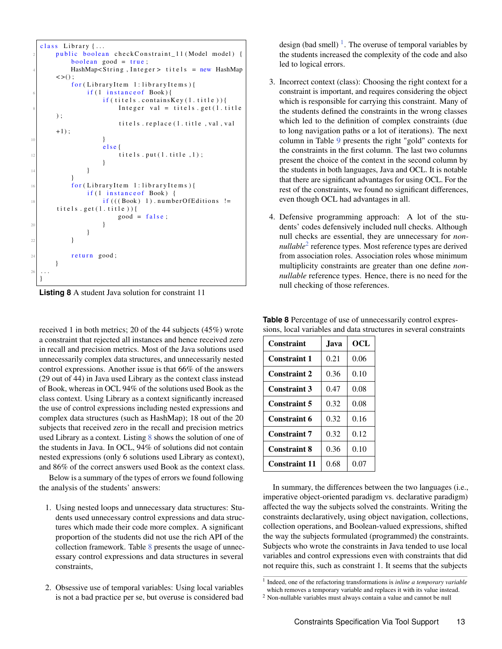```
class Library \{ \ldots \}public boolean checkConstraint_11 (Model model) {
            boolean good = true;
            HashMap <String, Integer > titels = new HashMap
        \langle \rangle :
            for (Library Item 1: library Items) {
                 if (l instance of Book){
                      if (titels . contains Key (1. title))Integer val = titels.get (1. \text{title})) ;
                           titels.replace (1. title, val, val
        +1);
10 }
                      e l s e {
\begin{aligned} \text{12} \mid \text{12} \mid \text{13} \cdot \text{put}(\text{1} \cdot \text{title} , \text{1}); \end{aligned}}
14 }
            }
            for (Library Item 1: library Items) {
                 if (1 instance of Book) {
\frac{18}{18} if (((Book) 1) . numberOf Editions !=
        \text{titels.get}(1.\text{title}))good = false;20 }
                 }
22 }
24 return good;
       }
26}
```
**Listing 8** A student Java solution for constraint 11

received 1 in both metrics; 20 of the 44 subjects (45%) wrote a constraint that rejected all instances and hence received zero in recall and precision metrics. Most of the Java solutions used unnecessarily complex data structures, and unnecessarily nested control expressions. Another issue is that 66% of the answers (29 out of 44) in Java used Library as the context class instead of Book, whereas in OCL 94% of the solutions used Book as the class context. Using Library as a context significantly increased the use of control expressions including nested expressions and complex data structures (such as HashMap); 18 out of the 20 subjects that received zero in the recall and precision metrics used Library as a context. Listing [8](#page-12-0) shows the solution of one of the students in Java. In OCL, 94% of solutions did not contain nested expressions (only 6 solutions used Library as context), and 86% of the correct answers used Book as the context class.

Below is a summary of the types of errors we found following the analysis of the students' answers:

- 1. Using nested loops and unnecessary data structures: Students used unnecessary control expressions and data structures which made their code more complex. A significant proportion of the students did not use the rich API of the collection framework. Table [8](#page-12-1) presents the usage of unnecessary control expressions and data structures in several constraints,
- 2. Obsessive use of temporal variables: Using local variables is not a bad practice per se, but overuse is considered bad

design (bad smell)  $\frac{1}{1}$  $\frac{1}{1}$  $\frac{1}{1}$ . The overuse of temporal variables by the students increased the complexity of the code and also led to logical errors.

- 3. Incorrect context (class): Choosing the right context for a constraint is important, and requires considering the object which is responsible for carrying this constraint. Many of the students defined the constraints in the wrong classes which led to the definition of complex constraints (due to long navigation paths or a lot of iterations). The next column in Table [9](#page-13-2) presents the right "gold" contexts for the constraints in the first column. The last two columns present the choice of the context in the second column by the students in both languages, Java and OCL. It is notable that there are significant advantages for using OCL. For the rest of the constraints, we found no significant differences, even though OCL had advantages in all.
- 4. Defensive programming approach: A lot of the students' codes defensively included null checks. Although null checks are essential, they are unnecessary for *nonnullable*[2](#page-0-0) reference types. Most reference types are derived from association roles. Association roles whose minimum multiplicity constraints are greater than one define *nonnullable* reference types. Hence, there is no need for the null checking of those references.

| <b>Constraint</b>    | .Iava | OCL  |
|----------------------|-------|------|
| <b>Constraint 1</b>  | 0.21  | 0.06 |
| <b>Constraint 2</b>  | 0.36  | 0.10 |
| <b>Constraint 3</b>  | 0.47  | 0.08 |
| <b>Constraint 5</b>  | 0.32  | 0.08 |
| <b>Constraint 6</b>  | 0.32  | 0.16 |
| <b>Constraint 7</b>  | 0.32  | 0.12 |
| <b>Constraint 8</b>  | 0.36  | 0.10 |
| <b>Constraint 11</b> | 0.68  | 0.07 |

<span id="page-12-1"></span>**Table 8** Percentage of use of unnecessarily control expressions, local variables and data structures in several constraints

In summary, the differences between the two languages (i.e., imperative object-oriented paradigm vs. declarative paradigm) affected the way the subjects solved the constraints. Writing the constraints declaratively, using object navigation, collections, collection operations, and Boolean-valued expressions, shifted the way the subjects formulated (programmed) the constraints. Subjects who wrote the constraints in Java tended to use local variables and control expressions even with constraints that did not require this, such as constraint 1. It seems that the subjects

<sup>&</sup>lt;sup>1</sup> Indeed, one of the refactoring transformations is *inline a temporary variable* which removes a temporary variable and replaces it with its value instead.

<sup>2</sup> Non-nullable variables must always contain a value and cannot be null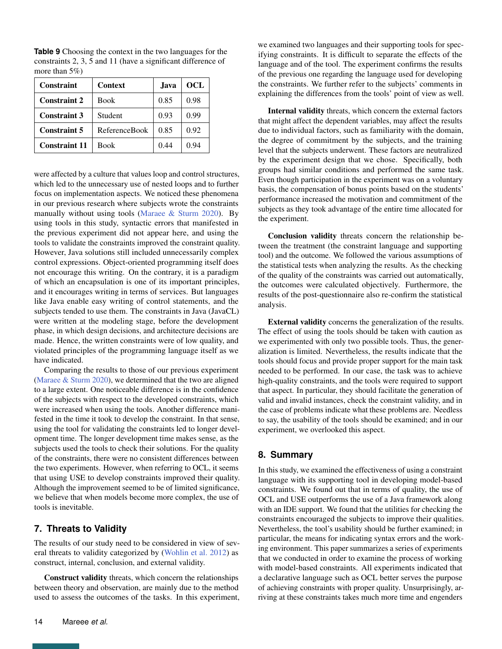| Constraint           | <b>Context</b>       | Java. | OCL  |
|----------------------|----------------------|-------|------|
| <b>Constraint 2</b>  | <b>Book</b>          | 0.85  | 0.98 |
| <b>Constraint 3</b>  | Student              | 0.93  | 0.99 |
| <b>Constraint 5</b>  | <b>ReferenceBook</b> | 0.85  | 0.92 |
| <b>Constraint 11</b> | Book                 | 0.44  | 0.94 |

<span id="page-13-2"></span>**Table 9** Choosing the context in the two languages for the constraints 2, 3, 5 and 11 (have a significant difference of more than 5%)

were affected by a culture that values loop and control structures, which led to the unnecessary use of nested loops and to further focus on implementation aspects. We noticed these phenomena in our previous research where subjects wrote the constraints manually without using tools [\(Maraee & Sturm](#page-15-4) [2020\)](#page-15-4). By using tools in this study, syntactic errors that manifested in the previous experiment did not appear here, and using the tools to validate the constraints improved the constraint quality. However, Java solutions still included unnecessarily complex control expressions. Object-oriented programming itself does not encourage this writing. On the contrary, it is a paradigm of which an encapsulation is one of its important principles, and it encourages writing in terms of services. But languages like Java enable easy writing of control statements, and the subjects tended to use them. The constraints in Java (JavaCL) were written at the modeling stage, before the development phase, in which design decisions, and architecture decisions are made. Hence, the written constraints were of low quality, and violated principles of the programming language itself as we have indicated.

Comparing the results to those of our previous experiment [\(Maraee & Sturm](#page-15-4) [2020\)](#page-15-4), we determined that the two are aligned to a large extent. One noticeable difference is in the confidence of the subjects with respect to the developed constraints, which were increased when using the tools. Another difference manifested in the time it took to develop the constraint. In that sense, using the tool for validating the constraints led to longer development time. The longer development time makes sense, as the subjects used the tools to check their solutions. For the quality of the constraints, there were no consistent differences between the two experiments. However, when referring to OCL, it seems that using USE to develop constraints improved their quality. Although the improvement seemed to be of limited significance, we believe that when models become more complex, the use of tools is inevitable.

# <span id="page-13-0"></span>**7. Threats to Validity**

The results of our study need to be considered in view of several threats to validity categorized by [\(Wohlin et al.](#page-15-26) [2012\)](#page-15-26) as construct, internal, conclusion, and external validity.

Construct validity threats, which concern the relationships between theory and observation, are mainly due to the method used to assess the outcomes of the tasks. In this experiment, we examined two languages and their supporting tools for specifying constraints. It is difficult to separate the effects of the language and of the tool. The experiment confirms the results of the previous one regarding the language used for developing the constraints. We further refer to the subjects' comments in explaining the differences from the tools' point of view as well.

Internal validity threats, which concern the external factors that might affect the dependent variables, may affect the results due to individual factors, such as familiarity with the domain, the degree of commitment by the subjects, and the training level that the subjects underwent. These factors are neutralized by the experiment design that we chose. Specifically, both groups had similar conditions and performed the same task. Even though participation in the experiment was on a voluntary basis, the compensation of bonus points based on the students' performance increased the motivation and commitment of the subjects as they took advantage of the entire time allocated for the experiment.

Conclusion validity threats concern the relationship between the treatment (the constraint language and supporting tool) and the outcome. We followed the various assumptions of the statistical tests when analyzing the results. As the checking of the quality of the constraints was carried out automatically, the outcomes were calculated objectively. Furthermore, the results of the post-questionnaire also re-confirm the statistical analysis.

External validity concerns the generalization of the results. The effect of using the tools should be taken with caution as we experimented with only two possible tools. Thus, the generalization is limited. Nevertheless, the results indicate that the tools should focus and provide proper support for the main task needed to be performed. In our case, the task was to achieve high-quality constraints, and the tools were required to support that aspect. In particular, they should facilitate the generation of valid and invalid instances, check the constraint validity, and in the case of problems indicate what these problems are. Needless to say, the usability of the tools should be examined; and in our experiment, we overlooked this aspect.

# <span id="page-13-1"></span>**8. Summary**

In this study, we examined the effectiveness of using a constraint language with its supporting tool in developing model-based constraints. We found out that in terms of quality, the use of OCL and USE outperforms the use of a Java framework along with an IDE support. We found that the utilities for checking the constraints encouraged the subjects to improve their qualities. Nevertheless, the tool's usability should be further examined; in particular, the means for indicating syntax errors and the working environment. This paper summarizes a series of experiments that we conducted in order to examine the process of working with model-based constraints. All experiments indicated that a declarative language such as OCL better serves the purpose of achieving constraints with proper quality. Unsurprisingly, arriving at these constraints takes much more time and engenders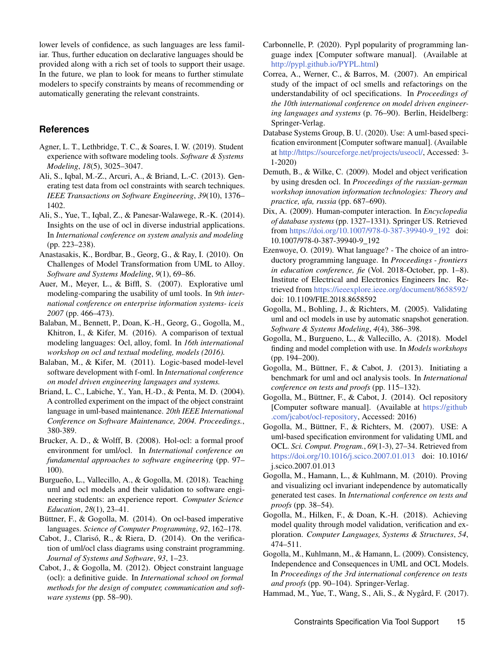lower levels of confidence, as such languages are less familiar. Thus, further education on declarative languages should be provided along with a rich set of tools to support their usage. In the future, we plan to look for means to further stimulate modelers to specify constraints by means of recommending or automatically generating the relevant constraints.

## **References**

- <span id="page-14-17"></span>Agner, L. T., Lethbridge, T. C., & Soares, I. W. (2019). Student experience with software modeling tools. *Software & Systems Modeling*, *18*(5), 3025–3047.
- <span id="page-14-9"></span>Ali, S., Iqbal, M.-Z., Arcuri, A., & Briand, L.-C. (2013). Generating test data from ocl constraints with search techniques. *IEEE Transactions on Software Engineering*, *39*(10), 1376– 1402.
- <span id="page-14-5"></span>Ali, S., Yue, T., Iqbal, Z., & Panesar-Walawege, R.-K. (2014). Insights on the use of ocl in diverse industrial applications. In *International conference on system analysis and modeling* (pp. 223–238).
- <span id="page-14-16"></span>Anastasakis, K., Bordbar, B., Georg, G., & Ray, I. (2010). On Challenges of Model Transformation from UML to Alloy. *Software and Systems Modeling*, *9*(1), 69–86.
- <span id="page-14-18"></span>Auer, M., Meyer, L., & Biffl, S. (2007). Explorative uml modeling-comparing the usability of uml tools. In *9th international conference on enterprise information systems- iceis 2007* (pp. 466–473).
- <span id="page-14-3"></span>Balaban, M., Bennett, P., Doan, K.-H., Georg, G., Gogolla, M., Khitron, I., & Kifer, M. (2016). A comparison of textual modeling languages: Ocl, alloy, foml. In *16th international workshop on ocl and textual modeling, models (2016).*
- <span id="page-14-15"></span>Balaban, M., & Kifer, M. (2011). Logic-based model-level software development with f-oml. In *International conference on model driven engineering languages and systems.*
- <span id="page-14-0"></span>Briand, L. C., Labiche, Y., Yan, H.-D., & Penta, M. D. (2004). A controlled experiment on the impact of the object constraint language in uml-based maintenance. *20th IEEE International Conference on Software Maintenance, 2004. Proceedings.*, 380-389.
- <span id="page-14-11"></span>Brucker, A. D., & Wolff, B. (2008). Hol-ocl: a formal proof environment for uml/ocl. In *International conference on fundamental approaches to software engineering* (pp. 97– 100).
- <span id="page-14-20"></span>Burgueño, L., Vallecillo, A., & Gogolla, M. (2018). Teaching uml and ocl models and their validation to software engineering students: an experience report. *Computer Science Education*, *28*(1), 23–41.
- <span id="page-14-25"></span>Büttner, F., & Gogolla, M. (2014). On ocl-based imperative languages. *Science of Computer Programming*, *92*, 162–178.
- <span id="page-14-8"></span>Cabot, J., Clarisó, R., & Riera, D. (2014). On the verification of uml/ocl class diagrams using constraint programming. *Journal of Systems and Software*, *93*, 1–23.
- <span id="page-14-4"></span>Cabot, J., & Gogolla, M. (2012). Object constraint language (ocl): a definitive guide. In *International school on formal methods for the design of computer, communication and software systems* (pp. 58–90).
- <span id="page-14-26"></span>Carbonnelle, P. (2020). Pypl popularity of programming language index [Computer software manual]. (Available at [http://pypl.github.io/PYPL.html\)](http://pypl.github.io/PYPL.html)
- <span id="page-14-1"></span>Correa, A., Werner, C., & Barros, M. (2007). An empirical study of the impact of ocl smells and refactorings on the understandability of ocl specifications. In *Proceedings of the 10th international conference on model driven engineering languages and systems* (p. 76–90). Berlin, Heidelberg: Springer-Verlag.
- <span id="page-14-21"></span>Database Systems Group, B. U. (2020). Use: A uml-based specification environment [Computer software manual]. (Available at [http://https://sourceforge.net/projects/useocl/,](http://https://sourceforge.net/projects/useocl/) Accessed: 3- 1-2020)
- <span id="page-14-13"></span>Demuth, B., & Wilke, C. (2009). Model and object verification by using dresden ocl. In *Proceedings of the russian-german workshop innovation information technologies: Theory and practice, ufa, russia* (pp. 687–690).
- <span id="page-14-19"></span>Dix, A. (2009). Human-computer interaction. In *Encyclopedia of database systems* (pp. 1327–1331). Springer US. Retrieved from [https://doi.org/10.1007/978-0-387-39940-9\\_192](https://doi.org/10.1007/978-0-387-39940-9_192) doi: 10.1007/978-0-387-39940-9\_192
- <span id="page-14-27"></span>Ezenwoye, O. (2019). What language? - The choice of an introductory programming language. In *Proceedings - frontiers in education conference, fie* (Vol. 2018-October, pp. 1–8). Institute of Electrical and Electronics Engineers Inc. Retrieved from <https://ieeexplore.ieee.org/document/8658592/> doi: 10.1109/FIE.2018.8658592
- <span id="page-14-10"></span>Gogolla, M., Bohling, J., & Richters, M. (2005). Validating uml and ocl models in use by automatic snapshot generation. *Software & Systems Modeling*, *4*(4), 386–398.
- <span id="page-14-24"></span>Gogolla, M., Burgueno, L., & Vallecillo, A. (2018). Model finding and model completion with use. In *Models workshops* (pp. 194–200).
- <span id="page-14-6"></span>Gogolla, M., Büttner, F., & Cabot, J. (2013). Initiating a benchmark for uml and ocl analysis tools. In *International conference on tests and proofs* (pp. 115–132).
- <span id="page-14-12"></span>Gogolla, M., Büttner, F., & Cabot, J. (2014). Ocl repository [Computer software manual]. (Available at [https://github](https://github.com/jcabot/ocl-repository) [.com/jcabot/ocl-repository,](https://github.com/jcabot/ocl-repository) Accessed: 2016)
- <span id="page-14-2"></span>Gogolla, M., Büttner, F., & Richters, M. (2007). USE: A uml-based specification environment for validating UML and OCL. *Sci. Comput. Program.*, *69*(1-3), 27–34. Retrieved from <https://doi.org/10.1016/j.scico.2007.01.013> doi: 10.1016/ j.scico.2007.01.013
- <span id="page-14-23"></span>Gogolla, M., Hamann, L., & Kuhlmann, M. (2010). Proving and visualizing ocl invariant independence by automatically generated test cases. In *International conference on tests and proofs* (pp. 38–54).
- <span id="page-14-7"></span>Gogolla, M., Hilken, F., & Doan, K.-H. (2018). Achieving model quality through model validation, verification and exploration. *Computer Languages, Systems & Structures*, *54*, 474–511.
- <span id="page-14-22"></span>Gogolla, M., Kuhlmann, M., & Hamann, L. (2009). Consistency, Independence and Consequences in UML and OCL Models. In *Proceedings of the 3rd international conference on tests and proofs* (pp. 90–104). Springer-Verlag.
- <span id="page-14-14"></span>Hammad, M., Yue, T., Wang, S., Ali, S., & Nygård, F. (2017).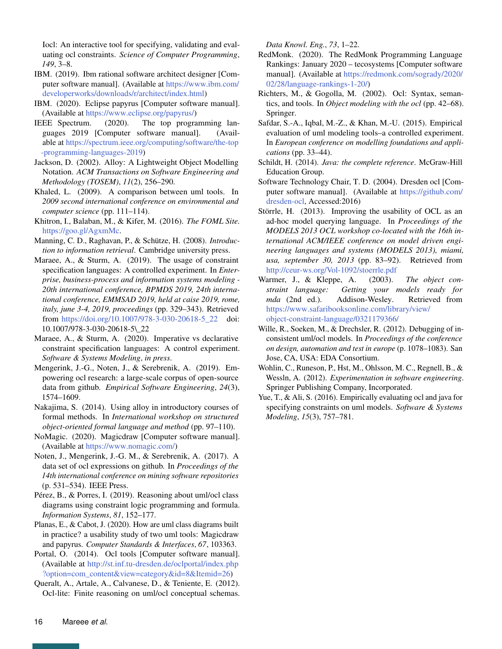Iocl: An interactive tool for specifying, validating and evaluating ocl constraints. *Science of Computer Programming*, *149*, 3–8.

- <span id="page-15-12"></span>IBM. (2019). Ibm rational software architect designer [Computer software manual]. (Available at [https://www.ibm.com/](https://www.ibm.com/developerworks/downloads/r/architect/index.html) [developerworks/downloads/r/architect/index.html\)](https://www.ibm.com/developerworks/downloads/r/architect/index.html)
- <span id="page-15-13"></span>IBM. (2020). Eclipse papyrus [Computer software manual]. (Available at [https://www.eclipse.org/papyrus/\)](https://www.eclipse.org/papyrus/)
- <span id="page-15-22"></span>IEEE Spectrum. (2020). The top programming languages 2019 [Computer software manual]. (Available at [https://spectrum.ieee.org/computing/software/the-top](https://spectrum.ieee.org/computing/software/the-top-programming-languages-2019) [-programming-languages-2019\)](https://spectrum.ieee.org/computing/software/the-top-programming-languages-2019)
- <span id="page-15-15"></span>Jackson, D. (2002). Alloy: A Lightweight Object Modelling Notation. *ACM Transactions on Software Engineering and Methodology (TOSEM)*, *11*(2), 256–290.
- <span id="page-15-18"></span>Khaled, L. (2009). A comparison between uml tools. In *2009 second international conference on environmental and computer science* (pp. 111–114).
- <span id="page-15-16"></span>Khitron, I., Balaban, M., & Kifer, M. (2016). *The FOML Site.* [https://goo.gl/AgxmMc.](https://goo.gl/AgxmMc)
- <span id="page-15-25"></span>Manning, C. D., Raghavan, P., & Schütze, H. (2008). *Introduction to information retrieval*. Cambridge university press.
- <span id="page-15-3"></span>Maraee, A., & Sturm, A. (2019). The usage of constraint specification languages: A controlled experiment. In *Enterprise, business-process and information systems modeling - 20th international conference, BPMDS 2019, 24th international conference, EMMSAD 2019, held at caise 2019, rome, italy, june 3-4, 2019, proceedings* (pp. 329–343). Retrieved from [https://doi.org/10.1007/978-3-030-20618-5\\_22](https://doi.org/10.1007/978-3-030-20618-5_22) doi: 10.1007/978-3-030-20618-5\\_22
- <span id="page-15-4"></span>Maraee, A., & Sturm, A. (2020). Imperative vs declarative constraint specification languages: A control experiment. *Software & Systems Modeling*, *in press*.
- <span id="page-15-9"></span>Mengerink, J.-G., Noten, J., & Serebrenik, A. (2019). Empowering ocl research: a large-scale corpus of open-source data from github. *Empirical Software Engineering*, *24*(3), 1574–1609.
- <span id="page-15-17"></span>Nakajima, S. (2014). Using alloy in introductory courses of formal methods. In *International workshop on structured object-oriented formal language and method* (pp. 97–110).
- <span id="page-15-11"></span>NoMagic. (2020). Magicdraw [Computer software manual]. (Available at [https://www.nomagic.com/\)](https://www.nomagic.com/)
- <span id="page-15-8"></span>Noten, J., Mengerink, J.-G. M., & Serebrenik, A. (2017). A data set of ocl expressions on github. In *Proceedings of the 14th international conference on mining software repositories* (p. 531–534). IEEE Press.
- <span id="page-15-5"></span>Pérez, B., & Porres, I. (2019). Reasoning about uml/ocl class diagrams using constraint logic programming and formula. *Information Systems*, *81*, 152–177.
- <span id="page-15-20"></span>Planas, E., & Cabot, J. (2020). How are uml class diagrams built in practice? a usability study of two uml tools: Magicdraw and papyrus. *Computer Standards & Interfaces*, *67*, 103363.
- <span id="page-15-10"></span>Portal, O. (2014). Ocl tools [Computer software manual]. (Available at [http://st.inf.tu-dresden.de/oclportal/index.php](http://st.inf.tu-dresden.de/oclportal/index.php?option=com_content&view=category&id=8&Itemid=26) [?option=com\\_content&view=category&id=8&Itemid=26\)](http://st.inf.tu-dresden.de/oclportal/index.php?option=com_content&view=category&id=8&Itemid=26)

<span id="page-15-6"></span>Queralt, A., Artale, A., Calvanese, D., & Teniente, E. (2012). Ocl-lite: Finite reasoning on uml/ocl conceptual schemas. *Data Knowl. Eng.*, *73*, 1–22.

- <span id="page-15-23"></span>RedMonk. (2020). The RedMonk Programming Language Rankings: January 2020 – tecosystems [Computer software manual]. (Available at [https://redmonk.com/sogrady/2020/](https://redmonk.com/sogrady/2020/02/28/language-rankings-1-20/) [02/28/language-rankings-1-20/\)](https://redmonk.com/sogrady/2020/02/28/language-rankings-1-20/)
- <span id="page-15-21"></span>Richters, M., & Gogolla, M. (2002). Ocl: Syntax, semantics, and tools. In *Object modeling with the ocl* (pp. 42–68). Springer.
- <span id="page-15-19"></span>Safdar, S.-A., Iqbal, M.-Z., & Khan, M.-U. (2015). Empirical evaluation of uml modeling tools–a controlled experiment. In *European conference on modelling foundations and applications* (pp. 33–44).
- <span id="page-15-24"></span>Schildt, H. (2014). *Java: the complete reference*. McGraw-Hill Education Group.
- <span id="page-15-14"></span>Software Technology Chair, T. D. (2004). Dresden ocl [Computer software manual]. (Available at [https://github.com/](https://github.com/dresden-ocl) [dresden-ocl,](https://github.com/dresden-ocl) Accessed:2016)
- <span id="page-15-1"></span>Störrle, H. (2013). Improving the usability of OCL as an ad-hoc model querying language. In *Proceedings of the MODELS 2013 OCL workshop co-located with the 16th international ACM/IEEE conference on model driven engineering languages and systems (MODELS 2013), miami, usa, september 30, 2013* (pp. 83–92). Retrieved from <http://ceur-ws.org/Vol-1092/stoerrle.pdf>
- <span id="page-15-0"></span>Warmer, J., & Kleppe, A. (2003). *The object constraint language: Getting your models ready for mda* (2nd ed.). Addison-Wesley. Retrieved from [https://www.safaribooksonline.com/library/view/](https://www.safaribooksonline.com/library/view/object-constraint-language/0321179366/) [object-constraint-language/0321179366/](https://www.safaribooksonline.com/library/view/object-constraint-language/0321179366/)
- <span id="page-15-7"></span>Wille, R., Soeken, M., & Drechsler, R. (2012). Debugging of inconsistent uml/ocl models. In *Proceedings of the conference on design, automation and test in europe* (p. 1078–1083). San Jose, CA, USA: EDA Consortium.
- <span id="page-15-26"></span>Wohlin, C., Runeson, P., Hst, M., Ohlsson, M. C., Regnell, B., & Wessln, A. (2012). *Experimentation in software engineering*. Springer Publishing Company, Incorporated.
- <span id="page-15-2"></span>Yue, T., & Ali, S. (2016). Empirically evaluating ocl and java for specifying constraints on uml models. *Software & Systems Modeling*, *15*(3), 757–781.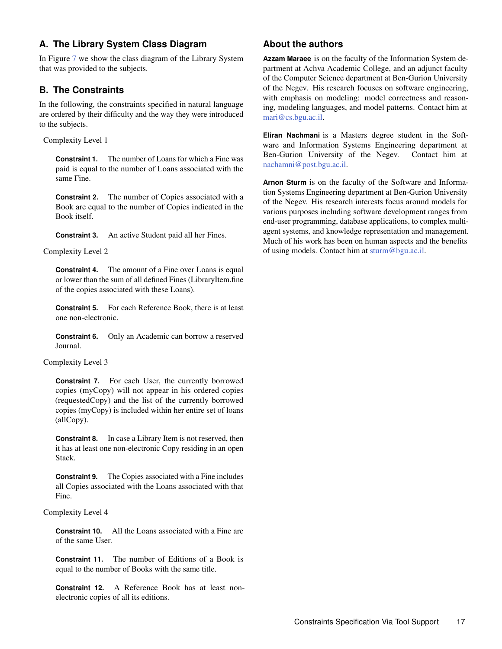# <span id="page-16-0"></span>**A. The Library System Class Diagram**

In Figure [7](#page-17-0) we show the class diagram of the Library System that was provided to the subjects.

# <span id="page-16-1"></span>**B. The Constraints**

In the following, the constraints specified in natural language are ordered by their difficulty and the way they were introduced to the subjects.

Complexity Level 1

**Constraint 1.** The number of Loans for which a Fine was paid is equal to the number of Loans associated with the same Fine.

**Constraint 2.** The number of Copies associated with a Book are equal to the number of Copies indicated in the Book itself.

**Constraint 3.** An active Student paid all her Fines.

Complexity Level 2

**Constraint 4.** The amount of a Fine over Loans is equal or lower than the sum of all defined Fines (LibraryItem.fine of the copies associated with these Loans).

**Constraint 5.** For each Reference Book, there is at least one non-electronic.

**Constraint 6.** Only an Academic can borrow a reserved Journal.

Complexity Level 3

**Constraint 7.** For each User, the currently borrowed copies (myCopy) will not appear in his ordered copies (requestedCopy) and the list of the currently borrowed copies (myCopy) is included within her entire set of loans (allCopy).

**Constraint 8.** In case a Library Item is not reserved, then it has at least one non-electronic Copy residing in an open Stack.

**Constraint 9.** The Copies associated with a Fine includes all Copies associated with the Loans associated with that Fine.

Complexity Level 4

**Constraint 10.** All the Loans associated with a Fine are of the same User.

**Constraint 11.** The number of Editions of a Book is equal to the number of Books with the same title.

**Constraint 12.** A Reference Book has at least nonelectronic copies of all its editions.

# **About the authors**

**Azzam Maraee** is on the faculty of the Information System department at Achva Academic College, and an adjunct faculty of the Computer Science department at Ben-Gurion University of the Negev. His research focuses on software engineering, with emphasis on modeling: model correctness and reasoning, modeling languages, and model patterns. Contact him at [mari@cs.bgu.ac.il.](mailto:mari@cs.bgu.ac.il)

**Eliran Nachmani** is a Masters degree student in the Software and Information Systems Engineering department at Ben-Gurion University of the Negev. Contact him at [nachamni@post.bgu.ac.il.](mailto:nachamni@post.bgu.ac.il)

**Arnon Sturm** is on the faculty of the Software and Information Systems Engineering department at Ben-Gurion University of the Negev. His research interests focus around models for various purposes including software development ranges from end-user programming, database applications, to complex multiagent systems, and knowledge representation and management. Much of his work has been on human aspects and the benefits of using models. Contact him at [sturm@bgu.ac.il.](mailto:sturm@bgu.ac.il)